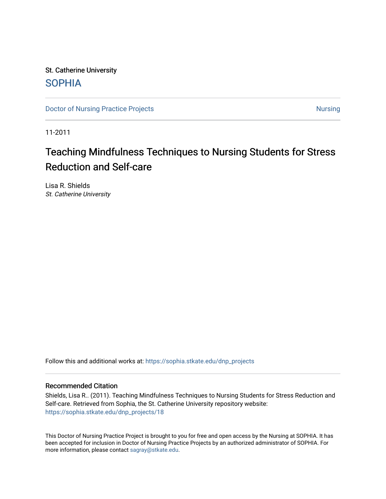St. Catherine University [SOPHIA](https://sophia.stkate.edu/) 

[Doctor of Nursing Practice Projects](https://sophia.stkate.edu/dnp_projects) [Nursing](https://sophia.stkate.edu/nursing) Nursing Nursing

11-2011

# Teaching Mindfulness Techniques to Nursing Students for Stress Reduction and Self-care

Lisa R. Shields St. Catherine University

Follow this and additional works at: [https://sophia.stkate.edu/dnp\\_projects](https://sophia.stkate.edu/dnp_projects?utm_source=sophia.stkate.edu%2Fdnp_projects%2F18&utm_medium=PDF&utm_campaign=PDFCoverPages) 

#### Recommended Citation

Shields, Lisa R.. (2011). Teaching Mindfulness Techniques to Nursing Students for Stress Reduction and Self-care. Retrieved from Sophia, the St. Catherine University repository website: [https://sophia.stkate.edu/dnp\\_projects/18](https://sophia.stkate.edu/dnp_projects/18?utm_source=sophia.stkate.edu%2Fdnp_projects%2F18&utm_medium=PDF&utm_campaign=PDFCoverPages)

This Doctor of Nursing Practice Project is brought to you for free and open access by the Nursing at SOPHIA. It has been accepted for inclusion in Doctor of Nursing Practice Projects by an authorized administrator of SOPHIA. For more information, please contact [sagray@stkate.edu](mailto:sagray@stkate.edu).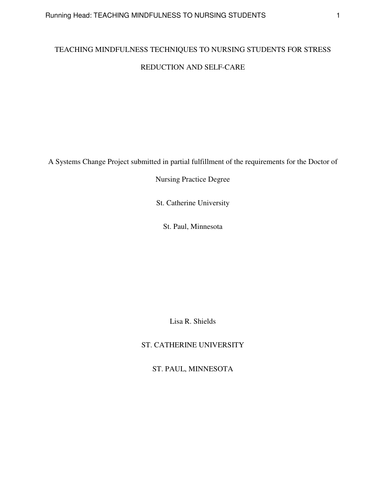# TEACHING MINDFULNESS TECHNIQUES TO NURSING STUDENTS FOR STRESS REDUCTION AND SELF-CARE

A Systems Change Project submitted in partial fulfillment of the requirements for the Doctor of

Nursing Practice Degree

St. Catherine University

St. Paul, Minnesota

Lisa R. Shields

ST. CATHERINE UNIVERSITY

ST. PAUL, MINNESOTA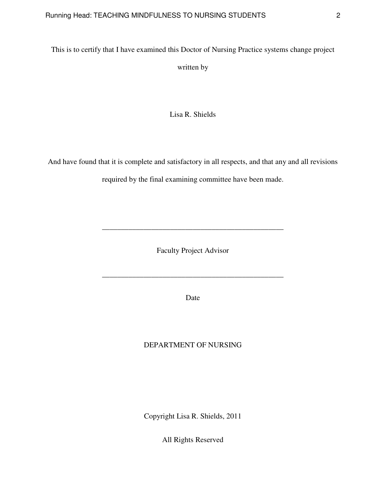This is to certify that I have examined this Doctor of Nursing Practice systems change project

written by

Lisa R. Shields

And have found that it is complete and satisfactory in all respects, and that any and all revisions

required by the final examining committee have been made.

Faculty Project Advisor

\_\_\_\_\_\_\_\_\_\_\_\_\_\_\_\_\_\_\_\_\_\_\_\_\_\_\_\_\_\_\_\_\_\_\_\_\_\_\_\_\_\_\_\_\_\_\_\_

\_\_\_\_\_\_\_\_\_\_\_\_\_\_\_\_\_\_\_\_\_\_\_\_\_\_\_\_\_\_\_\_\_\_\_\_\_\_\_\_\_\_\_\_\_\_\_\_

Date

## DEPARTMENT OF NURSING

Copyright Lisa R. Shields, 2011

All Rights Reserved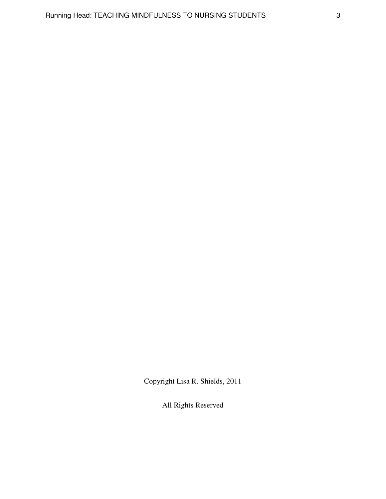Copyright Lisa R. Shields, 2011

All Rights Reserved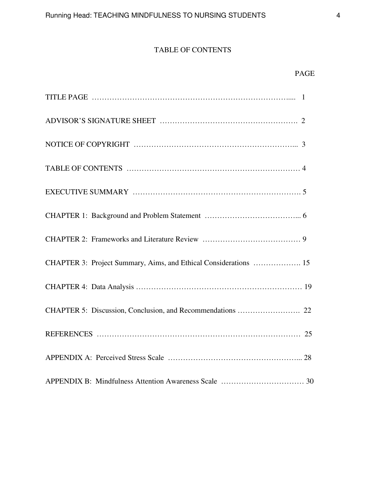## TABLE OF CONTENTS

## PAGE

| CHAPTER 3: Project Summary, Aims, and Ethical Considerations  15 |
|------------------------------------------------------------------|
|                                                                  |
|                                                                  |
|                                                                  |
|                                                                  |
|                                                                  |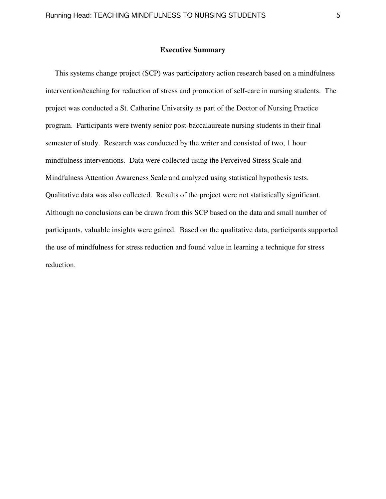#### **Executive Summary**

 This systems change project (SCP) was participatory action research based on a mindfulness intervention/teaching for reduction of stress and promotion of self-care in nursing students. The project was conducted a St. Catherine University as part of the Doctor of Nursing Practice program. Participants were twenty senior post-baccalaureate nursing students in their final semester of study. Research was conducted by the writer and consisted of two, 1 hour mindfulness interventions. Data were collected using the Perceived Stress Scale and Mindfulness Attention Awareness Scale and analyzed using statistical hypothesis tests. Qualitative data was also collected. Results of the project were not statistically significant. Although no conclusions can be drawn from this SCP based on the data and small number of participants, valuable insights were gained. Based on the qualitative data, participants supported the use of mindfulness for stress reduction and found value in learning a technique for stress reduction.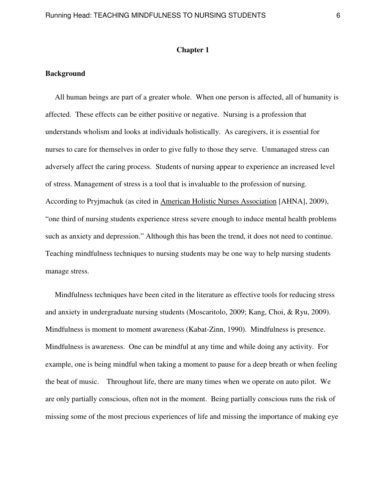#### **Chapter 1**

#### **Background**

 All human beings are part of a greater whole. When one person is affected, all of humanity is affected. These effects can be either positive or negative. Nursing is a profession that understands wholism and looks at individuals holistically. As caregivers, it is essential for nurses to care for themselves in order to give fully to those they serve. Unmanaged stress can adversely affect the caring process. Students of nursing appear to experience an increased level of stress. Management of stress is a tool that is invaluable to the profession of nursing. According to Pryjmachuk (as cited in American Holistic Nurses Association [AHNA], 2009), "one third of nursing students experience stress severe enough to induce mental health problems such as anxiety and depression." Although this has been the trend, it does not need to continue. Teaching mindfulness techniques to nursing students may be one way to help nursing students manage stress.

 Mindfulness techniques have been cited in the literature as effective tools for reducing stress and anxiety in undergraduate nursing students (Moscaritolo, 2009; Kang, Choi, & Ryu, 2009). Mindfulness is moment to moment awareness (Kabat-Zinn, 1990). Mindfulness is presence. Mindfulness is awareness. One can be mindful at any time and while doing any activity. For example, one is being mindful when taking a moment to pause for a deep breath or when feeling the beat of music. Throughout life, there are many times when we operate on auto pilot. We are only partially conscious, often not in the moment. Being partially conscious runs the risk of missing some of the most precious experiences of life and missing the importance of making eye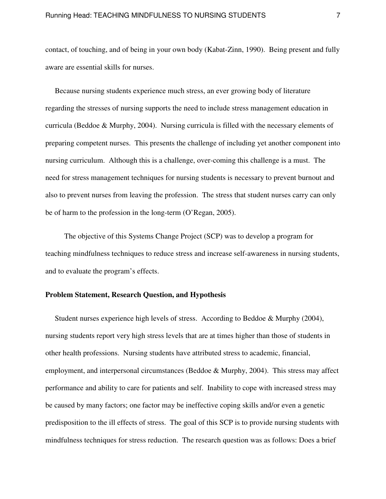contact, of touching, and of being in your own body (Kabat-Zinn, 1990). Being present and fully aware are essential skills for nurses.

 Because nursing students experience much stress, an ever growing body of literature regarding the stresses of nursing supports the need to include stress management education in curricula (Beddoe & Murphy, 2004). Nursing curricula is filled with the necessary elements of preparing competent nurses. This presents the challenge of including yet another component into nursing curriculum. Although this is a challenge, over-coming this challenge is a must. The need for stress management techniques for nursing students is necessary to prevent burnout and also to prevent nurses from leaving the profession. The stress that student nurses carry can only be of harm to the profession in the long-term (O'Regan, 2005).

 The objective of this Systems Change Project (SCP) was to develop a program for teaching mindfulness techniques to reduce stress and increase self-awareness in nursing students, and to evaluate the program's effects.

#### **Problem Statement, Research Question, and Hypothesis**

 Student nurses experience high levels of stress. According to Beddoe & Murphy (2004), nursing students report very high stress levels that are at times higher than those of students in other health professions. Nursing students have attributed stress to academic, financial, employment, and interpersonal circumstances (Beddoe & Murphy, 2004). This stress may affect performance and ability to care for patients and self. Inability to cope with increased stress may be caused by many factors; one factor may be ineffective coping skills and/or even a genetic predisposition to the ill effects of stress. The goal of this SCP is to provide nursing students with mindfulness techniques for stress reduction. The research question was as follows: Does a brief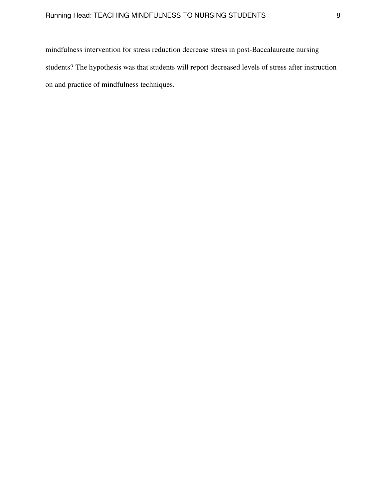mindfulness intervention for stress reduction decrease stress in post-Baccalaureate nursing students? The hypothesis was that students will report decreased levels of stress after instruction on and practice of mindfulness techniques.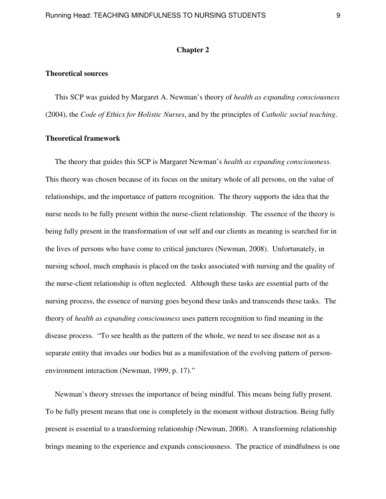#### **Chapter 2**

#### **Theoretical sources**

 This SCP was guided by Margaret A. Newman's theory of *health as expanding consciousness*  (2004), the *Code of Ethics for Holistic Nurses*, and by the principles of *Catholic social teaching*.

#### **Theoretical framework**

 The theory that guides this SCP is Margaret Newman's *health as expanding consciousness*. This theory was chosen because of its focus on the unitary whole of all persons, on the value of relationships, and the importance of pattern recognition. The theory supports the idea that the nurse needs to be fully present within the nurse-client relationship. The essence of the theory is being fully present in the transformation of our self and our clients as meaning is searched for in the lives of persons who have come to critical junctures (Newman, 2008). Unfortunately, in nursing school, much emphasis is placed on the tasks associated with nursing and the quality of the nurse-client relationship is often neglected. Although these tasks are essential parts of the nursing process, the essence of nursing goes beyond these tasks and transcends these tasks. The theory of *health as expanding consciousness* uses pattern recognition to find meaning in the disease process. "To see health as the pattern of the whole, we need to see disease not as a separate entity that invades our bodies but as a manifestation of the evolving pattern of personenvironment interaction (Newman, 1999, p. 17)."

 Newman's theory stresses the importance of being mindful. This means being fully present. To be fully present means that one is completely in the moment without distraction. Being fully present is essential to a transforming relationship (Newman, 2008). A transforming relationship brings meaning to the experience and expands consciousness. The practice of mindfulness is one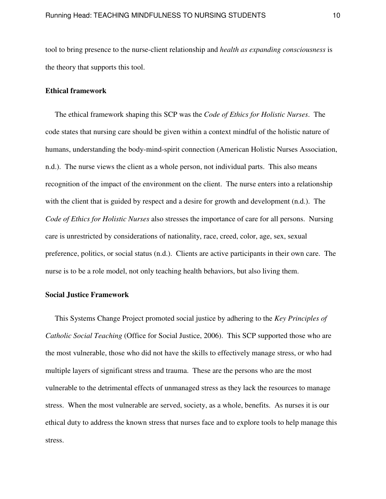tool to bring presence to the nurse-client relationship and *health as expanding consciousness* is the theory that supports this tool.

#### **Ethical framework**

 The ethical framework shaping this SCP was the *Code of Ethics for Holistic Nurses*. The code states that nursing care should be given within a context mindful of the holistic nature of humans, understanding the body-mind-spirit connection (American Holistic Nurses Association, n.d.). The nurse views the client as a whole person, not individual parts. This also means recognition of the impact of the environment on the client. The nurse enters into a relationship with the client that is guided by respect and a desire for growth and development  $(n.d.)$ . The *Code of Ethics for Holistic Nurses* also stresses the importance of care for all persons. Nursing care is unrestricted by considerations of nationality, race, creed, color, age, sex, sexual preference, politics, or social status (n.d.). Clients are active participants in their own care. The nurse is to be a role model, not only teaching health behaviors, but also living them.

#### **Social Justice Framework**

This Systems Change Project promoted social justice by adhering to the *Key Principles of Catholic Social Teaching* (Office for Social Justice, 2006). This SCP supported those who are the most vulnerable, those who did not have the skills to effectively manage stress, or who had multiple layers of significant stress and trauma. These are the persons who are the most vulnerable to the detrimental effects of unmanaged stress as they lack the resources to manage stress. When the most vulnerable are served, society, as a whole, benefits. As nurses it is our ethical duty to address the known stress that nurses face and to explore tools to help manage this stress.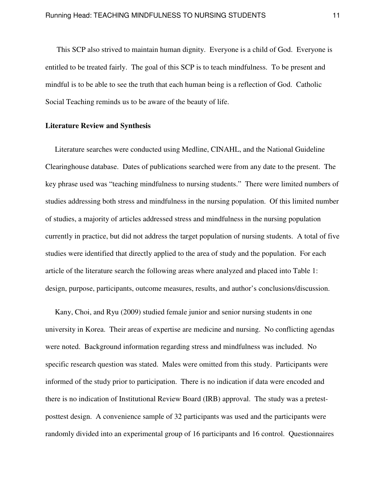This SCP also strived to maintain human dignity. Everyone is a child of God. Everyone is entitled to be treated fairly. The goal of this SCP is to teach mindfulness. To be present and mindful is to be able to see the truth that each human being is a reflection of God. Catholic Social Teaching reminds us to be aware of the beauty of life.

#### **Literature Review and Synthesis**

 Literature searches were conducted using Medline, CINAHL, and the National Guideline Clearinghouse database. Dates of publications searched were from any date to the present. The key phrase used was "teaching mindfulness to nursing students." There were limited numbers of studies addressing both stress and mindfulness in the nursing population. Of this limited number of studies, a majority of articles addressed stress and mindfulness in the nursing population currently in practice, but did not address the target population of nursing students. A total of five studies were identified that directly applied to the area of study and the population. For each article of the literature search the following areas where analyzed and placed into Table 1: design, purpose, participants, outcome measures, results, and author's conclusions/discussion.

 Kany, Choi, and Ryu (2009) studied female junior and senior nursing students in one university in Korea. Their areas of expertise are medicine and nursing. No conflicting agendas were noted. Background information regarding stress and mindfulness was included. No specific research question was stated. Males were omitted from this study. Participants were informed of the study prior to participation. There is no indication if data were encoded and there is no indication of Institutional Review Board (IRB) approval. The study was a pretestposttest design. A convenience sample of 32 participants was used and the participants were randomly divided into an experimental group of 16 participants and 16 control. Questionnaires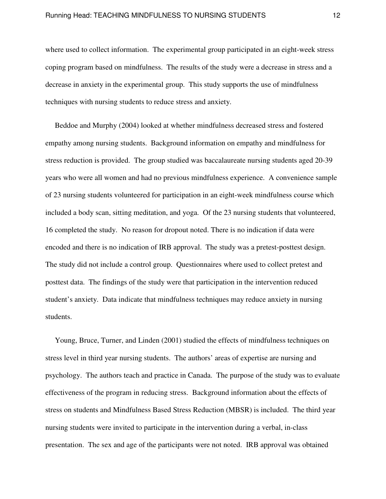where used to collect information. The experimental group participated in an eight-week stress coping program based on mindfulness. The results of the study were a decrease in stress and a decrease in anxiety in the experimental group. This study supports the use of mindfulness techniques with nursing students to reduce stress and anxiety.

 Beddoe and Murphy (2004) looked at whether mindfulness decreased stress and fostered empathy among nursing students. Background information on empathy and mindfulness for stress reduction is provided. The group studied was baccalaureate nursing students aged 20-39 years who were all women and had no previous mindfulness experience. A convenience sample of 23 nursing students volunteered for participation in an eight-week mindfulness course which included a body scan, sitting meditation, and yoga. Of the 23 nursing students that volunteered, 16 completed the study. No reason for dropout noted. There is no indication if data were encoded and there is no indication of IRB approval. The study was a pretest-posttest design. The study did not include a control group. Questionnaires where used to collect pretest and posttest data. The findings of the study were that participation in the intervention reduced student's anxiety. Data indicate that mindfulness techniques may reduce anxiety in nursing students.

 Young, Bruce, Turner, and Linden (2001) studied the effects of mindfulness techniques on stress level in third year nursing students. The authors' areas of expertise are nursing and psychology. The authors teach and practice in Canada. The purpose of the study was to evaluate effectiveness of the program in reducing stress. Background information about the effects of stress on students and Mindfulness Based Stress Reduction (MBSR) is included. The third year nursing students were invited to participate in the intervention during a verbal, in-class presentation. The sex and age of the participants were not noted. IRB approval was obtained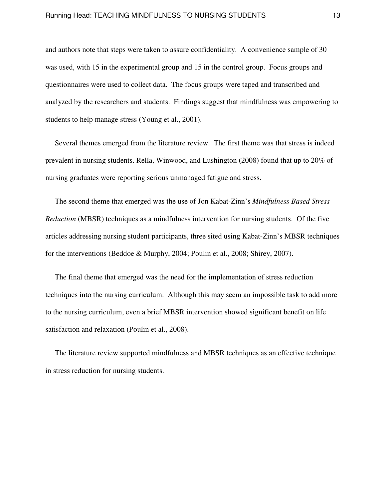and authors note that steps were taken to assure confidentiality. A convenience sample of 30 was used, with 15 in the experimental group and 15 in the control group. Focus groups and questionnaires were used to collect data. The focus groups were taped and transcribed and analyzed by the researchers and students. Findings suggest that mindfulness was empowering to students to help manage stress (Young et al., 2001).

 Several themes emerged from the literature review. The first theme was that stress is indeed prevalent in nursing students. Rella, Winwood, and Lushington (2008) found that up to 20% of nursing graduates were reporting serious unmanaged fatigue and stress.

 The second theme that emerged was the use of Jon Kabat-Zinn's *Mindfulness Based Stress Reduction* (MBSR) techniques as a mindfulness intervention for nursing students. Of the five articles addressing nursing student participants, three sited using Kabat-Zinn's MBSR techniques for the interventions (Beddoe & Murphy, 2004; Poulin et al., 2008; Shirey, 2007).

 The final theme that emerged was the need for the implementation of stress reduction techniques into the nursing curriculum. Although this may seem an impossible task to add more to the nursing curriculum, even a brief MBSR intervention showed significant benefit on life satisfaction and relaxation (Poulin et al., 2008).

 The literature review supported mindfulness and MBSR techniques as an effective technique in stress reduction for nursing students.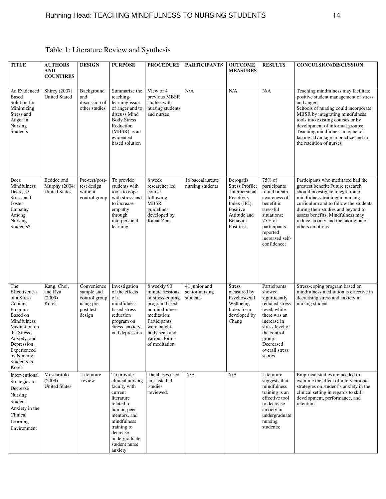| <b>TITLE</b>                                                                                                                                                                                           | <b>AUTHORS</b><br><b>AND</b><br><b>COUNTIRES</b>    | <b>DESIGN</b>                                                                   | <b>PURPOSE</b>                                                                                                                                                                                              | <b>PROCEDURE</b>                                                                                                                                                                       | <b>PARTICIPANTS</b>                         | <b>OUTCOME</b><br><b>MEASURES</b>                                                                                                   | <b>RESULTS</b>                                                                                                                                                                                | <b>CONCULSION/DISCUSSION</b>                                                                                                                                                                                                                                                                                                                       |
|--------------------------------------------------------------------------------------------------------------------------------------------------------------------------------------------------------|-----------------------------------------------------|---------------------------------------------------------------------------------|-------------------------------------------------------------------------------------------------------------------------------------------------------------------------------------------------------------|----------------------------------------------------------------------------------------------------------------------------------------------------------------------------------------|---------------------------------------------|-------------------------------------------------------------------------------------------------------------------------------------|-----------------------------------------------------------------------------------------------------------------------------------------------------------------------------------------------|----------------------------------------------------------------------------------------------------------------------------------------------------------------------------------------------------------------------------------------------------------------------------------------------------------------------------------------------------|
| An Evidenced<br><b>Based</b><br>Solution for<br>Minimizing<br>Stress and<br>Anger in<br>Nursing<br>Students                                                                                            | <b>Shirey</b> (2007)<br><b>United Stated</b>        | Background<br>and<br>discussion of<br>other studies                             | Summarize the<br>teaching-<br>learning issue<br>of anger and to<br>discuss Mind<br><b>Body Stress</b><br>Reduction<br>(MBSR) as an<br>evidenced<br>based solution                                           | View of 4<br>previous MBSR<br>studies with<br>nursing students<br>and nurses                                                                                                           | N/A                                         | N/A                                                                                                                                 | N/A                                                                                                                                                                                           | Teaching mindfulness may facilitate<br>positive student management of stress<br>and anger;<br>Schools of nursing could incorporate<br>MBSR by integrating mindfulness<br>tools into existing courses or by<br>development of informal groups;<br>Teaching mindfulness may be of<br>lasting advantage in practice and in<br>the retention of nurses |
| Does<br>Mindfulness<br>Decrease<br>Stress and<br>Foster<br>Empathy<br>Among<br>Nursing<br>Students?                                                                                                    | Beddoe and<br>Murphy (2004)<br><b>United States</b> | Pre-test/post-<br>test design<br>without<br>control group                       | To provide<br>students with<br>tools to cope<br>with stress and<br>to increase<br>empathy<br>through<br>interpersonal<br>learning                                                                           | 8 week<br>researcher led<br>course<br>following<br><b>MBSR</b><br>guidelines<br>developed by<br>Kabat-Zinn                                                                             | 16 baccalaureate<br>nursing students        | Derogatis<br>Stress Profile;<br>Interpersonal<br>Reactivity<br>Index $(IRI)$ ;<br>Positive<br>Attitude and<br>Behavior<br>Post-test | 75% of<br>participants<br>found breath<br>awareness of<br>benefit in<br>stressful<br>situations;<br>75% of<br>participants<br>reported<br>increased self-<br>confidence;                      | Participants who meditated had the<br>greatest benefit; Future research<br>should investigate integration of<br>mindfulness training in nursing<br>curriculum and to follow the students<br>during their studies and beyond to<br>assess benefits; Mindfulness may<br>reduce anxiety and the taking on of<br>others emotions                       |
| The<br>Effectiveness<br>of a Stress<br>Coping<br>Program<br>Based on<br>Mindfulness<br>Meditation on<br>the Stress,<br>Anxiety, and<br>Depression<br>Experienced<br>by Nursing<br>Students in<br>Korea | Kang, Choi,<br>and Ryu<br>(2009)<br>Korea           | Convenience<br>sample and<br>control group<br>using pre-<br>post test<br>design | Investigation<br>of the effects<br>of a<br>mindfulness<br>based stress<br>reduction<br>program on<br>stress, anxiety,<br>and depression                                                                     | 8 weekly 90<br>minute sessions<br>of stress-coping<br>program based<br>on mindfulness<br>meditation;<br>Participants<br>were taught<br>body scan and<br>various forms<br>of meditation | 41 junior and<br>senior nursing<br>students | <b>Stress</b><br>measured by<br>Psychosocial<br>Wellbeing<br>Index form<br>developed by<br>Chang                                    | Participants<br>showed<br>significantly<br>reduced stress<br>level, while<br>there was an<br>increase in<br>stress level of<br>the control<br>group;<br>Decreased<br>overall stress<br>scores | Stress-coping program based on<br>mindfulness meditation is effective in<br>decreasing stress and anxiety in<br>nursing student                                                                                                                                                                                                                    |
| Interventional<br>Strategies to<br>Decrease<br>Nursing<br>Student<br>Anxiety in the<br>Clinical<br>Learning<br>Environment                                                                             | Moscaritolo<br>(2009)<br><b>United States</b>       | Literature<br>review                                                            | To provide<br>clinical nursing<br>faculty with<br>current<br>literature<br>related to<br>humor, peer<br>mentors, and<br>mindfulness<br>training to<br>decrease<br>undergraduate<br>student nurse<br>anxiety | Databases used<br>not listed; 3<br>studies<br>reviewed.                                                                                                                                | N/A                                         | N/A                                                                                                                                 | Literature<br>suggests that<br>mindfulness<br>training is an<br>effective tool<br>to decrease<br>anxiety in<br>undergraduate<br>nursing<br>students;                                          | Empirical studies are needed to<br>examine the effect of interventional<br>strategies on student's anxiety in the<br>clinical setting in regards to skill<br>development, performance, and<br>retention                                                                                                                                            |

## Table 1: Literature Review and Synthesis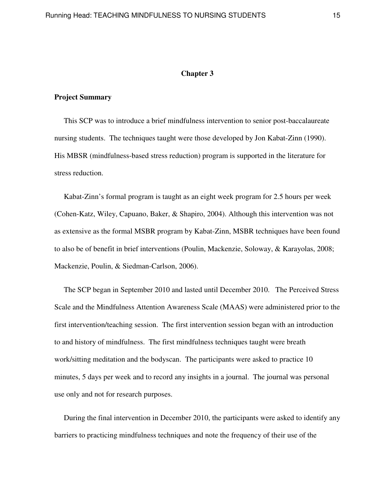#### **Chapter 3**

#### **Project Summary**

 This SCP was to introduce a brief mindfulness intervention to senior post-baccalaureate nursing students. The techniques taught were those developed by Jon Kabat-Zinn (1990). His MBSR (mindfulness-based stress reduction) program is supported in the literature for stress reduction.

 Kabat-Zinn's formal program is taught as an eight week program for 2.5 hours per week (Cohen-Katz, Wiley, Capuano, Baker, & Shapiro, 2004). Although this intervention was not as extensive as the formal MSBR program by Kabat-Zinn, MSBR techniques have been found to also be of benefit in brief interventions (Poulin, Mackenzie, Soloway, & Karayolas, 2008; Mackenzie, Poulin, & Siedman-Carlson, 2006).

 The SCP began in September 2010 and lasted until December 2010. The Perceived Stress Scale and the Mindfulness Attention Awareness Scale (MAAS) were administered prior to the first intervention/teaching session. The first intervention session began with an introduction to and history of mindfulness. The first mindfulness techniques taught were breath work/sitting meditation and the bodyscan. The participants were asked to practice 10 minutes, 5 days per week and to record any insights in a journal. The journal was personal use only and not for research purposes.

 During the final intervention in December 2010, the participants were asked to identify any barriers to practicing mindfulness techniques and note the frequency of their use of the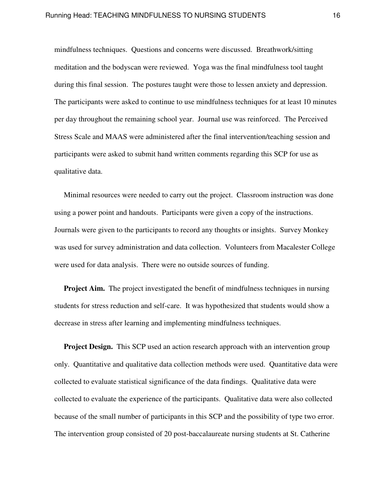mindfulness techniques. Questions and concerns were discussed. Breathwork/sitting meditation and the bodyscan were reviewed. Yoga was the final mindfulness tool taught during this final session. The postures taught were those to lessen anxiety and depression. The participants were asked to continue to use mindfulness techniques for at least 10 minutes per day throughout the remaining school year. Journal use was reinforced. The Perceived Stress Scale and MAAS were administered after the final intervention/teaching session and participants were asked to submit hand written comments regarding this SCP for use as qualitative data.

 Minimal resources were needed to carry out the project. Classroom instruction was done using a power point and handouts. Participants were given a copy of the instructions. Journals were given to the participants to record any thoughts or insights. Survey Monkey was used for survey administration and data collection. Volunteers from Macalester College were used for data analysis. There were no outside sources of funding.

**Project Aim.** The project investigated the benefit of mindfulness techniques in nursing students for stress reduction and self-care. It was hypothesized that students would show a decrease in stress after learning and implementing mindfulness techniques.

**Project Design.** This SCP used an action research approach with an intervention group only. Quantitative and qualitative data collection methods were used. Quantitative data were collected to evaluate statistical significance of the data findings. Qualitative data were collected to evaluate the experience of the participants. Qualitative data were also collected because of the small number of participants in this SCP and the possibility of type two error. The intervention group consisted of 20 post-baccalaureate nursing students at St. Catherine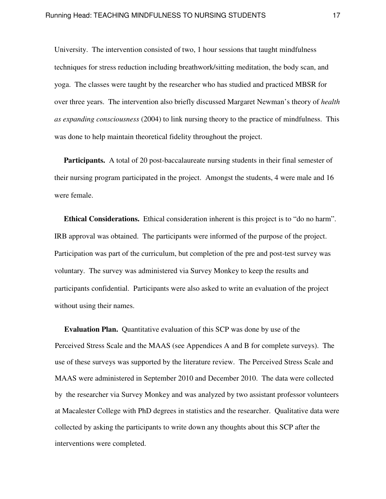University. The intervention consisted of two, 1 hour sessions that taught mindfulness techniques for stress reduction including breathwork/sitting meditation, the body scan, and yoga. The classes were taught by the researcher who has studied and practiced MBSR for over three years. The intervention also briefly discussed Margaret Newman's theory of *health as expanding consciousness* (2004) to link nursing theory to the practice of mindfulness. This was done to help maintain theoretical fidelity throughout the project.

**Participants.** A total of 20 post-baccalaureate nursing students in their final semester of their nursing program participated in the project. Amongst the students, 4 were male and 16 were female.

 **Ethical Considerations.** Ethical consideration inherent is this project is to "do no harm". IRB approval was obtained. The participants were informed of the purpose of the project. Participation was part of the curriculum, but completion of the pre and post-test survey was voluntary. The survey was administered via Survey Monkey to keep the results and participants confidential. Participants were also asked to write an evaluation of the project without using their names.

 **Evaluation Plan.** Quantitative evaluation of this SCP was done by use of the Perceived Stress Scale and the MAAS (see Appendices A and B for complete surveys). The use of these surveys was supported by the literature review. The Perceived Stress Scale and MAAS were administered in September 2010 and December 2010. The data were collected by the researcher via Survey Monkey and was analyzed by two assistant professor volunteers at Macalester College with PhD degrees in statistics and the researcher. Qualitative data were collected by asking the participants to write down any thoughts about this SCP after the interventions were completed.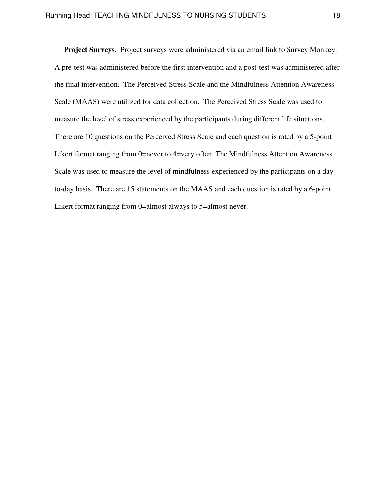**Project Surveys.** Project surveys were administered via an email link to Survey Monkey. A pre-test was administered before the first intervention and a post-test was administered after the final intervention. The Perceived Stress Scale and the Mindfulness Attention Awareness Scale (MAAS) were utilized for data collection.The Perceived Stress Scale was used to measure the level of stress experienced by the participants during different life situations. There are 10 questions on the Perceived Stress Scale and each question is rated by a 5-point Likert format ranging from 0=never to 4=very often. The Mindfulness Attention Awareness Scale was used to measure the level of mindfulness experienced by the participants on a dayto-day basis. There are 15 statements on the MAAS and each question is rated by a 6-point Likert format ranging from 0=almost always to 5=almost never.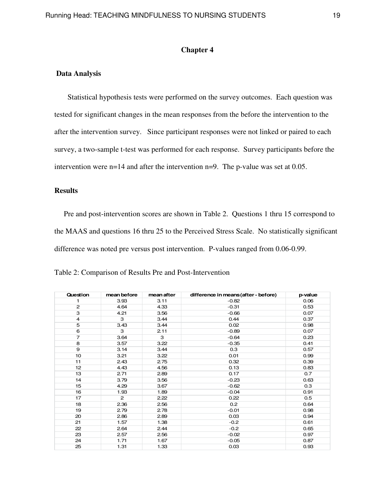#### **Chapter 4**

#### **Data Analysis**

 Statistical hypothesis tests were performed on the survey outcomes. Each question was tested for significant changes in the mean responses from the before the intervention to the after the intervention survey. Since participant responses were not linked or paired to each survey, a two-sample t-test was performed for each response. Survey participants before the intervention were n=14 and after the intervention n=9. The p-value was set at 0.05.

#### **Results**

 Pre and post-intervention scores are shown in Table 2. Questions 1 thru 15 correspond to the MAAS and questions 16 thru 25 to the Perceived Stress Scale. No statistically significant difference was noted pre versus post intervention. P-values ranged from 0.06-0.99.

| Question       | mean before | mean after | difference in means (after - before) | p-value |
|----------------|-------------|------------|--------------------------------------|---------|
| 1              | 3.93        | 3.11       | $-0.82$                              | 0.06    |
| $\mathbf{2}$   | 4.64        | 4.33       | $-0.31$                              | 0.53    |
| 3              | 4.21        | 3.56       | $-0.66$                              | 0.07    |
| $\overline{4}$ | 3           | 3.44       | 0.44                                 | 0.37    |
| 5              | 3.43        | 3.44       | 0.02                                 | 0.98    |
| 6              | 3           | 2.11       | $-0.89$                              | 0.07    |
| $\overline{7}$ | 3.64        | 3          | $-0.64$                              | 0.23    |
| 8              | 3.57        | 3.22       | $-0.35$                              | 0.41    |
| 9              | 3.14        | 3.44       | 0.3                                  | 0.57    |
| 10             | 3.21        | 3.22       | 0.01                                 | 0.99    |
| 11             | 2.43        | 2.75       | 0.32                                 | 0.39    |
| 12             | 4.43        | 4.56       | 0.13                                 | 0.83    |
| 13             | 2.71        | 2.89       | 0.17                                 | 0.7     |
| 14             | 3.79        | 3.56       | $-0.23$                              | 0.63    |
| 15             | 4.29        | 3.67       | $-0.62$                              | 0.3     |
| 16             | 1.93        | 1.89       | $-0.04$                              | 0.91    |
| 17             | 2           | 2.22       | 0.22                                 | 0.5     |
| 18             | 2.36        | 2.56       | 0.2                                  | 0.64    |
| 19             | 2.79        | 2.78       | $-0.01$                              | 0.98    |
| 20             | 2.86        | 2.89       | 0.03                                 | 0.94    |
| 21             | 1.57        | 1.38       | $-0.2$                               | 0.61    |
| 22             | 2.64        | 2.44       | $-0.2$                               | 0.65    |
| 23             | 2.57        | 2.56       | $-0.02$                              | 0.97    |
| 24             | 1.71        | 1.67       | $-0.05$                              | 0.87    |
| 25             | 1.31        | 1.33       | 0.03                                 | 0.93    |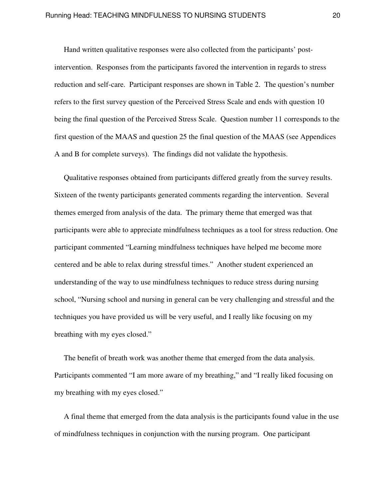Hand written qualitative responses were also collected from the participants' postintervention. Responses from the participants favored the intervention in regards to stress reduction and self-care. Participant responses are shown in Table 2. The question's number refers to the first survey question of the Perceived Stress Scale and ends with question 10 being the final question of the Perceived Stress Scale. Question number 11 corresponds to the first question of the MAAS and question 25 the final question of the MAAS (see Appendices A and B for complete surveys). The findings did not validate the hypothesis.

 Qualitative responses obtained from participants differed greatly from the survey results. Sixteen of the twenty participants generated comments regarding the intervention. Several themes emerged from analysis of the data. The primary theme that emerged was that participants were able to appreciate mindfulness techniques as a tool for stress reduction. One participant commented "Learning mindfulness techniques have helped me become more centered and be able to relax during stressful times." Another student experienced an understanding of the way to use mindfulness techniques to reduce stress during nursing school, "Nursing school and nursing in general can be very challenging and stressful and the techniques you have provided us will be very useful, and I really like focusing on my breathing with my eyes closed."

 The benefit of breath work was another theme that emerged from the data analysis. Participants commented "I am more aware of my breathing," and "I really liked focusing on my breathing with my eyes closed."

 A final theme that emerged from the data analysis is the participants found value in the use of mindfulness techniques in conjunction with the nursing program. One participant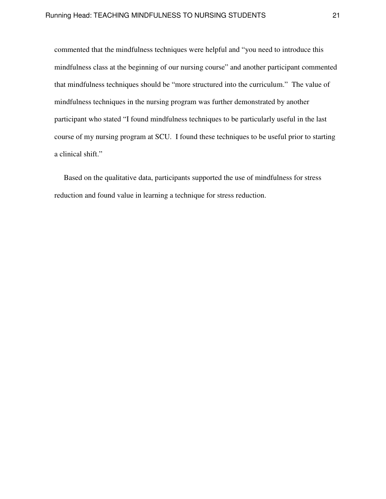commented that the mindfulness techniques were helpful and "you need to introduce this mindfulness class at the beginning of our nursing course" and another participant commented that mindfulness techniques should be "more structured into the curriculum." The value of mindfulness techniques in the nursing program was further demonstrated by another participant who stated "I found mindfulness techniques to be particularly useful in the last course of my nursing program at SCU. I found these techniques to be useful prior to starting a clinical shift."

 Based on the qualitative data, participants supported the use of mindfulness for stress reduction and found value in learning a technique for stress reduction.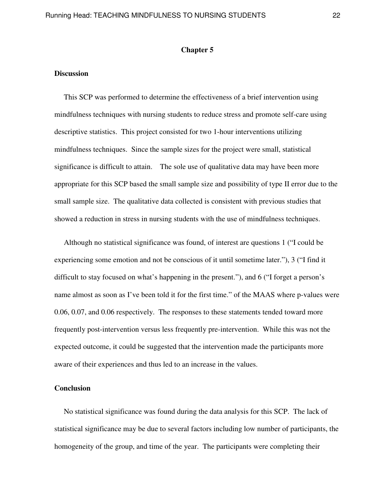#### **Chapter 5**

#### **Discussion**

This SCP was performed to determine the effectiveness of a brief intervention using mindfulness techniques with nursing students to reduce stress and promote self-care using descriptive statistics. This project consisted for two 1-hour interventions utilizing mindfulness techniques. Since the sample sizes for the project were small, statistical significance is difficult to attain. The sole use of qualitative data may have been more appropriate for this SCP based the small sample size and possibility of type II error due to the small sample size. The qualitative data collected is consistent with previous studies that showed a reduction in stress in nursing students with the use of mindfulness techniques.

 Although no statistical significance was found, of interest are questions 1 ("I could be experiencing some emotion and not be conscious of it until sometime later."), 3 ("I find it difficult to stay focused on what's happening in the present."), and 6 ("I forget a person's name almost as soon as I've been told it for the first time." of the MAAS where p-values were 0.06, 0.07, and 0.06 respectively. The responses to these statements tended toward more frequently post-intervention versus less frequently pre-intervention. While this was not the expected outcome, it could be suggested that the intervention made the participants more aware of their experiences and thus led to an increase in the values.

#### **Conclusion**

 No statistical significance was found during the data analysis for this SCP. The lack of statistical significance may be due to several factors including low number of participants, the homogeneity of the group, and time of the year. The participants were completing their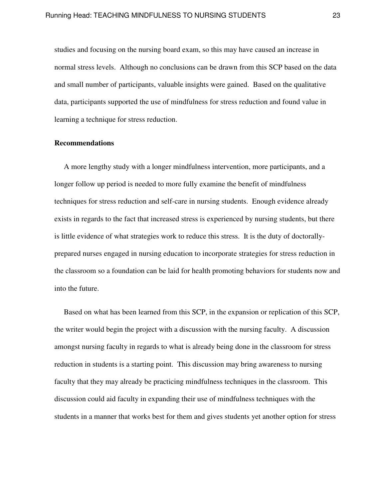studies and focusing on the nursing board exam, so this may have caused an increase in normal stress levels. Although no conclusions can be drawn from this SCP based on the data and small number of participants, valuable insights were gained. Based on the qualitative data, participants supported the use of mindfulness for stress reduction and found value in learning a technique for stress reduction.

#### **Recommendations**

A more lengthy study with a longer mindfulness intervention, more participants, and a longer follow up period is needed to more fully examine the benefit of mindfulness techniques for stress reduction and self-care in nursing students. Enough evidence already exists in regards to the fact that increased stress is experienced by nursing students, but there is little evidence of what strategies work to reduce this stress. It is the duty of doctorallyprepared nurses engaged in nursing education to incorporate strategies for stress reduction in the classroom so a foundation can be laid for health promoting behaviors for students now and into the future.

 Based on what has been learned from this SCP, in the expansion or replication of this SCP, the writer would begin the project with a discussion with the nursing faculty. A discussion amongst nursing faculty in regards to what is already being done in the classroom for stress reduction in students is a starting point. This discussion may bring awareness to nursing faculty that they may already be practicing mindfulness techniques in the classroom. This discussion could aid faculty in expanding their use of mindfulness techniques with the students in a manner that works best for them and gives students yet another option for stress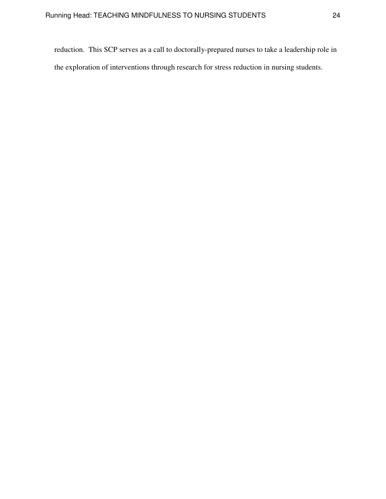reduction. This SCP serves as a call to doctorally-prepared nurses to take a leadership role in the exploration of interventions through research for stress reduction in nursing students.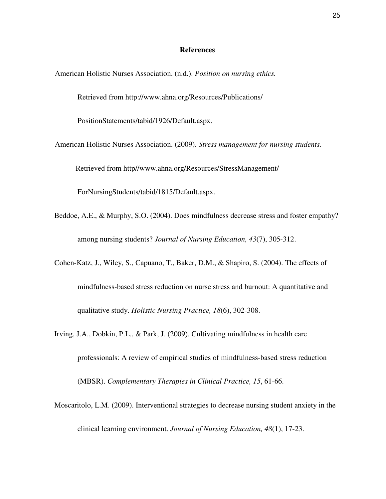#### **References**

American Holistic Nurses Association. (n.d.). *Position on nursing ethics.*

Retrieved from http://www.ahna.org/Resources/Publications/

PositionStatements/tabid/1926/Default.aspx.

- American Holistic Nurses Association. (2009). *Stress management for nursing students*. Retrieved from http//www.ahna.org/Resources/StressManagement/ ForNursingStudents/tabid/1815/Default.aspx.
- Beddoe, A.E., & Murphy, S.O. (2004). Does mindfulness decrease stress and foster empathy? among nursing students? *Journal of Nursing Education, 43*(7), 305-312.
- Cohen-Katz, J., Wiley, S., Capuano, T., Baker, D.M., & Shapiro, S. (2004). The effects of mindfulness-based stress reduction on nurse stress and burnout: A quantitative and qualitative study. *Holistic Nursing Practice, 18*(6), 302-308.
- Irving, J.A., Dobkin, P.L., & Park, J. (2009). Cultivating mindfulness in health care professionals: A review of empirical studies of mindfulness-based stress reduction (MBSR). *Complementary Therapies in Clinical Practice, 15*, 61-66.
- Moscaritolo, L.M. (2009). Interventional strategies to decrease nursing student anxiety in the clinical learning environment. *Journal of Nursing Education, 48*(1), 17-23.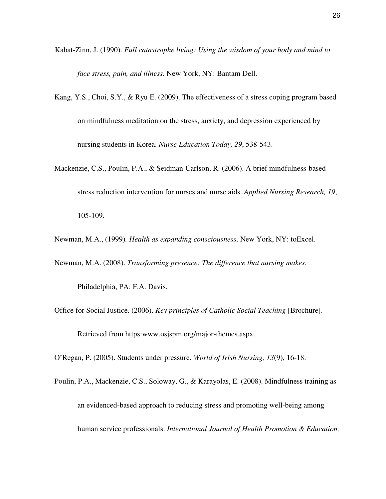- Kabat-Zinn, J. (1990). *Full catastrophe living: Using the wisdom of your body and mind to face stress, pain, and illness*. New York, NY: Bantam Dell.
- Kang, Y.S., Choi, S.Y., & Ryu E. (2009). The effectiveness of a stress coping program based on mindfulness meditation on the stress, anxiety, and depression experienced by nursing students in Korea. *Nurse Education Today, 29*, 538-543.
- Mackenzie, C.S., Poulin, P.A., & Seidman-Carlson, R. (2006). A brief mindfulness-based stress reduction intervention for nurses and nurse aids. *Applied Nursing Research, 19*, 105-109.

Newman, M.A., (1999)*. Health as expanding consciousness*. New York, NY: toExcel.

Newman, M.A. (2008). *Transforming presence: The difference that nursing makes*.

Philadelphia, PA: F.A. Davis.

Office for Social Justice. (2006). *Key principles of Catholic Social Teaching* [Brochure]. Retrieved from https:www.osjspm.org/major-themes.aspx.

O'Regan, P. (2005). Students under pressure. *World of Irish Nursing, 13*(9), 16-18.

Poulin, P.A., Mackenzie, C.S., Soloway, G., & Karayolas, E. (2008). Mindfulness training as an evidenced-based approach to reducing stress and promoting well-being among human service professionals. *International Journal of Health Promotion & Education,*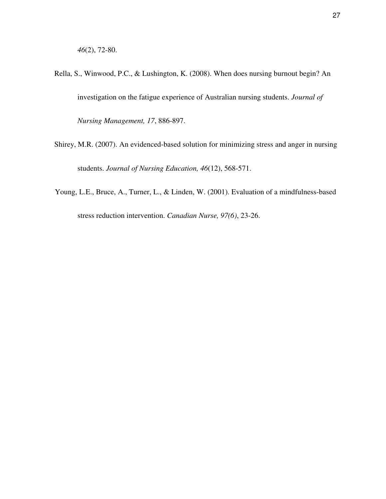- Rella, S., Winwood, P.C., & Lushington, K. (2008). When does nursing burnout begin? An investigation on the fatigue experience of Australian nursing students. *Journal of Nursing Management, 17*, 886-897.
- Shirey, M.R. (2007). An evidenced-based solution for minimizing stress and anger in nursing students. *Journal of Nursing Education, 46*(12), 568-571.
- Young, L.E., Bruce, A., Turner, L., & Linden, W. (2001). Evaluation of a mindfulness-based stress reduction intervention. *Canadian Nurse, 97(6)*, 23-26.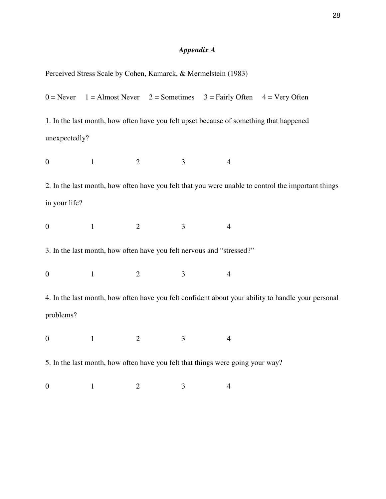## *Appendix A*

| Perceived Stress Scale by Cohen, Kamarck, & Mermelstein (1983) |  |  |
|----------------------------------------------------------------|--|--|
|                                                                |  |  |

 $0 =$  Never  $1 =$  Almost Never  $2 =$  Sometimes  $3 =$  Fairly Often  $4 =$  Very Often 1. In the last month, how often have you felt upset because of something that happened unexpectedly? 0 1 2 3 4 2. In the last month, how often have you felt that you were unable to control the important things in your life? 0 1 2 3 4 3. In the last month, how often have you felt nervous and "stressed?" 0 1 2 3 4 4. In the last month, how often have you felt confident about your ability to handle your personal problems? 0 1 2 3 4 5. In the last month, how often have you felt that things were going your way? 0 1 2 3 4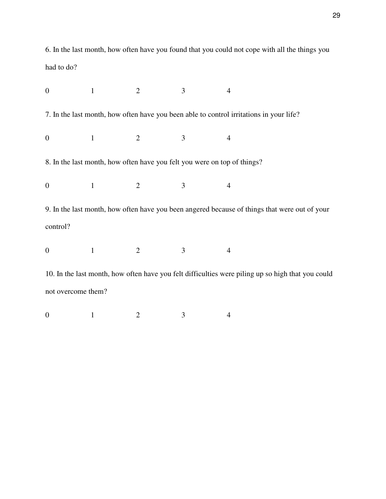6. In the last month, how often have you found that you could not cope with all the things you had to do?

| $\overline{0}$                                                                                    | $\mathbf{1}$ | $\overline{2}$ | 3              | $\overline{4}$ |  |  |  |
|---------------------------------------------------------------------------------------------------|--------------|----------------|----------------|----------------|--|--|--|
| 7. In the last month, how often have you been able to control irritations in your life?           |              |                |                |                |  |  |  |
| $\mathbf{0}$                                                                                      | $\mathbf{1}$ | $\overline{2}$ | 3              | 4              |  |  |  |
| 8. In the last month, how often have you felt you were on top of things?                          |              |                |                |                |  |  |  |
| $\overline{0}$                                                                                    | $\mathbf{1}$ | $\overline{2}$ | 3              | $\overline{4}$ |  |  |  |
| 9. In the last month, how often have you been angered because of things that were out of your     |              |                |                |                |  |  |  |
| control?                                                                                          |              |                |                |                |  |  |  |
| $\overline{0}$                                                                                    | $\mathbf{1}$ | $\overline{2}$ | $\overline{3}$ | $\overline{4}$ |  |  |  |
| 10. In the last month, how often have you felt difficulties were piling up so high that you could |              |                |                |                |  |  |  |
| not overcome them?                                                                                |              |                |                |                |  |  |  |
| $\theta$                                                                                          | $\mathbf{1}$ | $\overline{2}$ | 3              | $\overline{4}$ |  |  |  |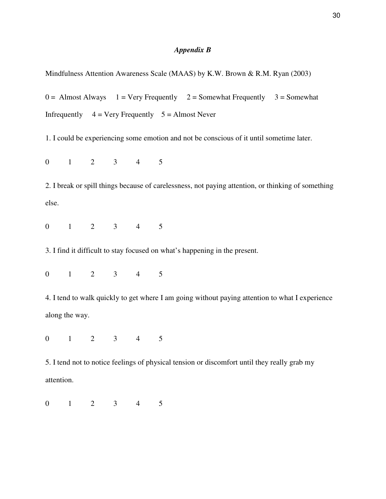### *Appendix B*

Mindfulness Attention Awareness Scale (MAAS) by K.W. Brown & R.M. Ryan (2003)

 $0 =$  Almost Always 1 = Very Frequently 2 = Somewhat Frequently 3 = Somewhat Infrequently  $4 = \text{Very Frequently } 5 = \text{Almost Never}$ 

1. I could be experiencing some emotion and not be conscious of it until sometime later.

0 1 2 3 4 5

2. I break or spill things because of carelessness, not paying attention, or thinking of something else.

0 1 2 3 4 5

3. I find it difficult to stay focused on what's happening in the present.

0 1 2 3 4 5

4. I tend to walk quickly to get where I am going without paying attention to what I experience along the way.

0 1 2 3 4 5

5. I tend not to notice feelings of physical tension or discomfort until they really grab my attention.

0 1 2 3 4 5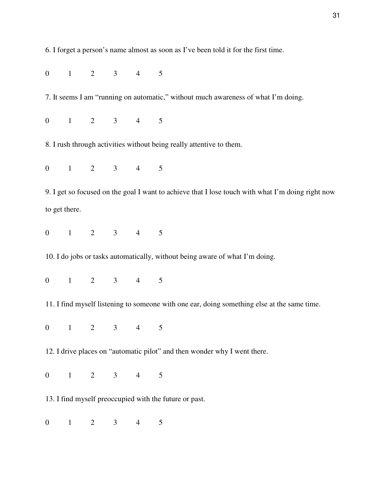6. I forget a person's name almost as soon as I've been told it for the first time.

0 1 2 3 4 5

7. It seems I am "running on automatic," without much awareness of what I'm doing.

0 1 2 3 4 5

8. I rush through activities without being really attentive to them.

0 1 2 3 4 5

9. I get so focused on the goal I want to achieve that I lose touch with what I'm doing right now to get there.

0 1 2 3 4 5

10. I do jobs or tasks automatically, without being aware of what I'm doing.

0 1 2 3 4 5

11. I find myself listening to someone with one ear, doing something else at the same time.

0 1 2 3 4 5

12. I drive places on "automatic pilot" and then wonder why I went there.

0 1 2 3 4 5

13. I find myself preoccupied with the future or past.

0 1 2 3 4 5